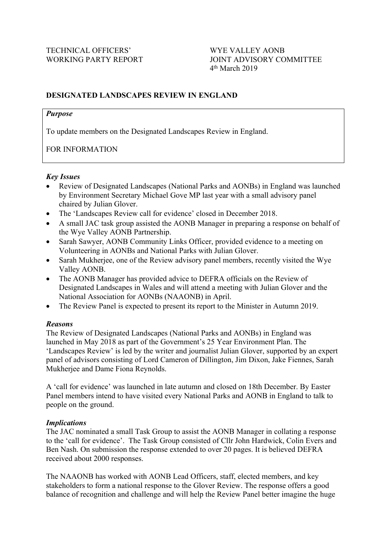# **DESIGNATED LANDSCAPES REVIEW IN ENGLAND**

### *Purpose*

To update members on the Designated Landscapes Review in England.

# FOR INFORMATION

# *Key Issues*

- Review of Designated Landscapes (National Parks and AONBs) in England was launched by Environment Secretary Michael Gove MP last year with a small advisory panel chaired by Julian Glover.
- The 'Landscapes Review call for evidence' closed in December 2018.
- A small JAC task group assisted the AONB Manager in preparing a response on behalf of the Wye Valley AONB Partnership.
- Sarah Sawyer, AONB Community Links Officer, provided evidence to a meeting on Volunteering in AONBs and National Parks with Julian Glover.
- Sarah Mukherjee, one of the Review advisory panel members, recently visited the Wye Valley AONB.
- The AONB Manager has provided advice to DEFRA officials on the Review of Designated Landscapes in Wales and will attend a meeting with Julian Glover and the National Association for AONBs (NAAONB) in April.
- The Review Panel is expected to present its report to the Minister in Autumn 2019.

# *Reasons*

The Review of Designated Landscapes (National Parks and AONBs) in England was launched in May 2018 as part of the Government's 25 Year Environment Plan. The 'Landscapes Review' is led by the writer and journalist Julian Glover, supported by an expert panel of advisors consisting of Lord Cameron of Dillington, Jim Dixon, Jake Fiennes, Sarah Mukherjee and Dame Fiona Reynolds.

A 'call for evidence' was launched in late autumn and closed on 18th December. By Easter Panel members intend to have visited every National Parks and AONB in England to talk to people on the ground.

# *Implications*

The JAC nominated a small Task Group to assist the AONB Manager in collating a response to the 'call for evidence'. The Task Group consisted of Cllr John Hardwick, Colin Evers and Ben Nash. On submission the response extended to over 20 pages. It is believed DEFRA received about 2000 responses.

The NAAONB has worked with AONB Lead Officers, staff, elected members, and key stakeholders to form a national response to the Glover Review. The response offers a good balance of recognition and challenge and will help the Review Panel better imagine the huge